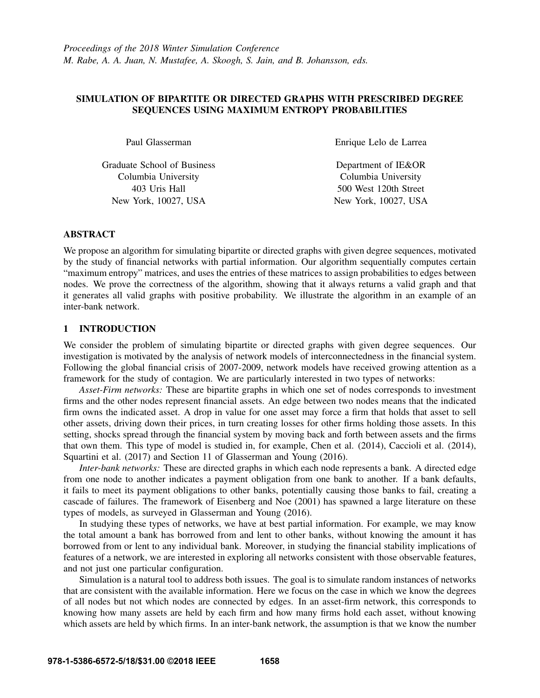# SIMULATION OF BIPARTITE OR DIRECTED GRAPHS WITH PRESCRIBED DEGREE SEQUENCES USING MAXIMUM ENTROPY PROBABILITIES

Paul Glasserman

Graduate School of Business Columbia University 403 Uris Hall New York, 10027, USA

Enrique Lelo de Larrea

Department of IE&OR Columbia University 500 West 120th Street New York, 10027, USA

# ABSTRACT

We propose an algorithm for simulating bipartite or directed graphs with given degree sequences, motivated by the study of financial networks with partial information. Our algorithm sequentially computes certain "maximum entropy" matrices, and uses the entries of these matrices to assign probabilities to edges between nodes. We prove the correctness of the algorithm, showing that it always returns a valid graph and that it generates all valid graphs with positive probability. We illustrate the algorithm in an example of an inter-bank network.

## 1 INTRODUCTION

We consider the problem of simulating bipartite or directed graphs with given degree sequences. Our investigation is motivated by the analysis of network models of interconnectedness in the financial system. Following the global financial crisis of 2007-2009, network models have received growing attention as a framework for the study of contagion. We are particularly interested in two types of networks:

*Asset-Firm networks:* These are bipartite graphs in which one set of nodes corresponds to investment firms and the other nodes represent financial assets. An edge between two nodes means that the indicated firm owns the indicated asset. A drop in value for one asset may force a firm that holds that asset to sell other assets, driving down their prices, in turn creating losses for other firms holding those assets. In this setting, shocks spread through the financial system by moving back and forth between assets and the firms that own them. This type of model is studied in, for example, Chen et al. (2014), Caccioli et al. (2014), Squartini et al. (2017) and Section 11 of Glasserman and Young (2016).

*Inter-bank networks:* These are directed graphs in which each node represents a bank. A directed edge from one node to another indicates a payment obligation from one bank to another. If a bank defaults, it fails to meet its payment obligations to other banks, potentially causing those banks to fail, creating a cascade of failures. The framework of Eisenberg and Noe (2001) has spawned a large literature on these types of models, as surveyed in Glasserman and Young (2016).

In studying these types of networks, we have at best partial information. For example, we may know the total amount a bank has borrowed from and lent to other banks, without knowing the amount it has borrowed from or lent to any individual bank. Moreover, in studying the financial stability implications of features of a network, we are interested in exploring all networks consistent with those observable features, and not just one particular configuration.

Simulation is a natural tool to address both issues. The goal is to simulate random instances of networks that are consistent with the available information. Here we focus on the case in which we know the degrees of all nodes but not which nodes are connected by edges. In an asset-firm network, this corresponds to knowing how many assets are held by each firm and how many firms hold each asset, without knowing which assets are held by which firms. In an inter-bank network, the assumption is that we know the number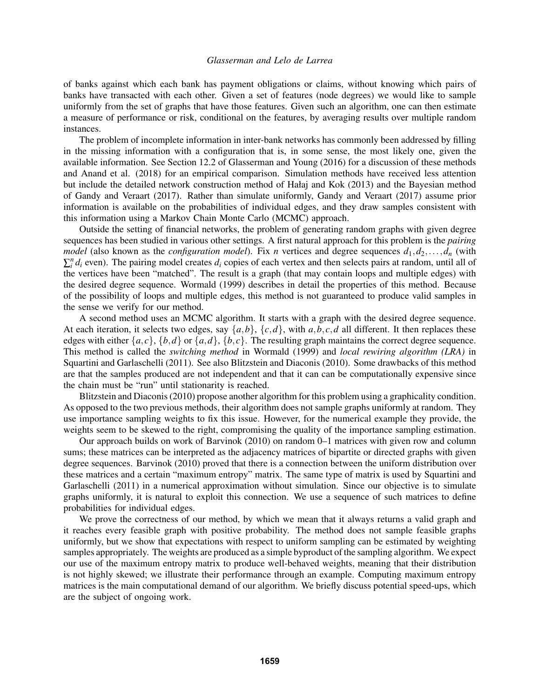of banks against which each bank has payment obligations or claims, without knowing which pairs of banks have transacted with each other. Given a set of features (node degrees) we would like to sample uniformly from the set of graphs that have those features. Given such an algorithm, one can then estimate a measure of performance or risk, conditional on the features, by averaging results over multiple random instances.

The problem of incomplete information in inter-bank networks has commonly been addressed by filling in the missing information with a configuration that is, in some sense, the most likely one, given the available information. See Section 12.2 of Glasserman and Young (2016) for a discussion of these methods and Anand et al. (2018) for an empirical comparison. Simulation methods have received less attention but include the detailed network construction method of Hałaj and Kok (2013) and the Bayesian method of Gandy and Veraart (2017). Rather than simulate uniformly, Gandy and Veraart (2017) assume prior information is available on the probabilities of individual edges, and they draw samples consistent with this information using a Markov Chain Monte Carlo (MCMC) approach.

Outside the setting of financial networks, the problem of generating random graphs with given degree sequences has been studied in various other settings. A first natural approach for this problem is the *pairing model* (also known as the *configuration model*). Fix *n* vertices and degree sequences  $d_1, d_2, \ldots, d_n$  (with  $\sum_i^n d_i$  even). The pairing model creates  $d_i$  copies of each vertex and then selects pairs at random, until all of the vertices have been "matched". The result is a graph (that may contain loops and multiple edges) with the desired degree sequence. Wormald (1999) describes in detail the properties of this method. Because of the possibility of loops and multiple edges, this method is not guaranteed to produce valid samples in the sense we verify for our method.

A second method uses an MCMC algorithm. It starts with a graph with the desired degree sequence. At each iteration, it selects two edges, say  $\{a,b\}$ ,  $\{c,d\}$ , with  $a,b,c,d$  all different. It then replaces these edges with either  $\{a, c\}$ ,  $\{b, d\}$  or  $\{a, d\}$ ,  $\{b, c\}$ . The resulting graph maintains the correct degree sequence. This method is called the *switching method* in Wormald (1999) and *local rewiring algorithm (LRA)* in Squartini and Garlaschelli (2011). See also Blitzstein and Diaconis (2010). Some drawbacks of this method are that the samples produced are not independent and that it can can be computationally expensive since the chain must be "run" until stationarity is reached.

Blitzstein and Diaconis (2010) propose another algorithm for this problem using a graphicality condition. As opposed to the two previous methods, their algorithm does not sample graphs uniformly at random. They use importance sampling weights to fix this issue. However, for the numerical example they provide, the weights seem to be skewed to the right, compromising the quality of the importance sampling estimation.

Our approach builds on work of Barvinok (2010) on random 0–1 matrices with given row and column sums; these matrices can be interpreted as the adjacency matrices of bipartite or directed graphs with given degree sequences. Barvinok (2010) proved that there is a connection between the uniform distribution over these matrices and a certain "maximum entropy" matrix. The same type of matrix is used by Squartini and Garlaschelli (2011) in a numerical approximation without simulation. Since our objective is to simulate graphs uniformly, it is natural to exploit this connection. We use a sequence of such matrices to define probabilities for individual edges.

We prove the correctness of our method, by which we mean that it always returns a valid graph and it reaches every feasible graph with positive probability. The method does not sample feasible graphs uniformly, but we show that expectations with respect to uniform sampling can be estimated by weighting samples appropriately. The weights are produced as a simple byproduct of the sampling algorithm. We expect our use of the maximum entropy matrix to produce well-behaved weights, meaning that their distribution is not highly skewed; we illustrate their performance through an example. Computing maximum entropy matrices is the main computational demand of our algorithm. We briefly discuss potential speed-ups, which are the subject of ongoing work.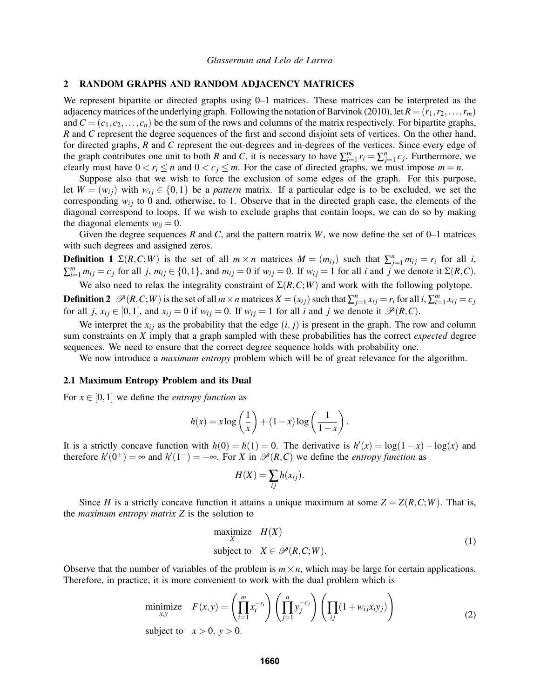### 2 RANDOM GRAPHS AND RANDOM ADJACENCY MATRICES

We represent bipartite or directed graphs using 0–1 matrices. These matrices can be interpreted as the adjacency matrices of the underlying graph. Following the notation of Barvinok (2010), let  $R = (r_1, r_2, \ldots, r_m)$ and  $C = (c_1, c_2, \ldots, c_n)$  be the sum of the rows and columns of the matrix respectively. For bipartite graphs, *R* and *C* represent the degree sequences of the first and second disjoint sets of vertices. On the other hand, for directed graphs, *R* and *C* represent the out-degrees and in-degrees of the vertices. Since every edge of the graph contributes one unit to both *R* and *C*, it is necessary to have  $\sum_{i=1}^{m} r_i = \sum_{j=1}^{n} c_j$ . Furthermore, we clearly must have  $0 < r_i \le n$  and  $0 < c_j \le m$ . For the case of directed graphs, we must impose  $m = n$ .

Suppose also that we wish to force the exclusion of some edges of the graph. For this purpose, let  $W = (w_{ij})$  with  $w_{ij} \in \{0,1\}$  be a *pattern* matrix. If a particular edge is to be excluded, we set the corresponding  $w_{ij}$  to 0 and, otherwise, to 1. Observe that in the directed graph case, the elements of the diagonal correspond to loops. If we wish to exclude graphs that contain loops, we can do so by making the diagonal elements  $w_{ii} = 0$ .

Given the degree sequences *R* and *C*, and the pattern matrix *W*, we now define the set of 0–1 matrices with such degrees and assigned zeros.

**Definition 1**  $\Sigma(R, C; W)$  is the set of all  $m \times n$  matrices  $M = (m_{ij})$  such that  $\sum_{j=1}^{n} m_{ij} = r_i$  for all *i*,  $\sum_{i=1}^{m} m_{ij} = c_j$  for all j,  $m_{ij} \in \{0, 1\}$ , and  $m_{ij} = 0$  if  $w_{ij} = 0$ . If  $w_{ij} = 1$  for all i and j we denote it  $\Sigma(R, C)$ .

We also need to relax the integrality constraint of  $\Sigma(R, C; W)$  and work with the following polytope.

**Definition 2**  $\mathscr{P}(R, C; W)$  is the set of all  $m \times n$  matrices  $X = (x_{ij})$  such that  $\sum_{j=1}^{n} x_{ij} = r_i$  for all  $i, \sum_{i=1}^{m} x_{ij} = c_j$ for all *j*,  $x_{ij} \in [0,1]$ , and  $x_{ij} = 0$  if  $w_{ij} = 0$ . If  $w_{ij} = 1$  for all *i* and *j* we denote it  $\mathcal{P}(R,C)$ .

We interpret the  $x_{ij}$  as the probability that the edge  $(i, j)$  is present in the graph. The row and column sum constraints on *X* imply that a graph sampled with these probabilities has the correct *expected* degree sequences. We need to ensure that the correct degree sequence holds with probability one.

We now introduce a *maximum entropy* problem which will be of great relevance for the algorithm.

#### 2.1 Maximum Entropy Problem and its Dual

For  $x \in [0,1]$  we define the *entropy function* as

$$
h(x) = x \log\left(\frac{1}{x}\right) + (1-x) \log\left(\frac{1}{1-x}\right).
$$

It is a strictly concave function with  $h(0) = h(1) = 0$ . The derivative is  $h'(x) = \log(1-x) - \log(x)$  and therefore  $h'(0^+) = \infty$  and  $h'(1^-) = -\infty$ . For *X* in  $\mathcal{P}(R, C)$  we define the *entropy function* as

$$
H(X) = \sum_{ij} h(x_{ij}).
$$

Since *H* is a strictly concave function it attains a unique maximum at some  $Z = Z(R, C; W)$ . That is, the *maximum entropy matrix Z* is the solution to

maximize 
$$
H(X)
$$
  
\nsubject to  $X \in \mathcal{P}(R, C; W)$ . (1)

Observe that the number of variables of the problem is  $m \times n$ , which may be large for certain applications. Therefore, in practice, it is more convenient to work with the dual problem which is

$$
\underset{x,y}{\text{minimize}} \quad F(x,y) = \left(\prod_{i=1}^{m} x_i^{-r_i}\right) \left(\prod_{j=1}^{n} y_j^{-c_j}\right) \left(\prod_{ij} (1 + w_{ij}x_i y_j)\right)
$$
\n
$$
\text{subject to} \quad x > 0, \ y > 0. \tag{2}
$$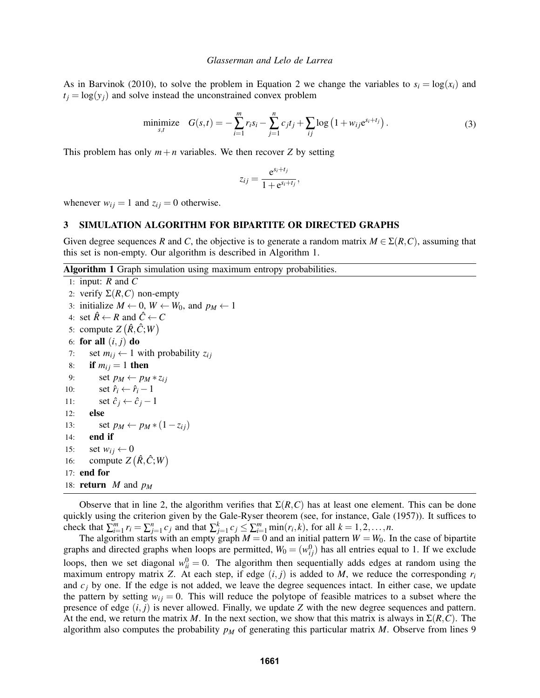As in Barvinok (2010), to solve the problem in Equation 2 we change the variables to  $s_i = \log(x_i)$  and  $t_i = \log(y_i)$  and solve instead the unconstrained convex problem

minimize 
$$
G(s,t) = -\sum_{i=1}^{m} r_i s_i - \sum_{j=1}^{n} c_j t_j + \sum_{ij} \log (1 + w_{ij} e^{s_i + t_j}).
$$
 (3)

This problem has only  $m+n$  variables. We then recover *Z* by setting

$$
z_{ij} = \frac{e^{s_i+t_j}}{1+e^{s_i+t_j}},
$$

whenever  $w_{ij} = 1$  and  $z_{ij} = 0$  otherwise.

#### 3 SIMULATION ALGORITHM FOR BIPARTITE OR DIRECTED GRAPHS

Given degree sequences *R* and *C*, the objective is to generate a random matrix  $M \in \Sigma(R, C)$ , assuming that this set is non-empty. Our algorithm is described in Algorithm 1.

#### Algorithm 1 Graph simulation using maximum entropy probabilities.

```
1: input: R and \overline{C}2: verify \Sigma(R, C) non-empty
 3: initialize M \leftarrow 0, W \leftarrow W_0, and p_M \leftarrow 14: set \hat{R} \leftarrow R and \hat{C} \leftarrow C5: compute Z(\hat{R}, \hat{C}; W)6: for all (i, j) do
 7: set m_{ij} \leftarrow 1 with probability z_{ij}8: if m_{ij} = 1 then
 9: set p_M \leftarrow p_M * z_{ij}10: set \hat{r}_i \leftarrow \hat{r}_i - 111: set \hat{c}_j \leftarrow \hat{c}_j - 112: else
13: set p_M \leftarrow p_M * (1 - z_{ij})14: end if
15: set w_{ij} \leftarrow 016: compute Z(\hat{R}, \hat{C}; W)17: end for
18: return M and pM
```
Observe that in line 2, the algorithm verifies that  $\Sigma(R, C)$  has at least one element. This can be done quickly using the criterion given by the Gale-Ryser theorem (see, for instance, Gale (1957)). It suffices to check that  $\sum_{i=1}^{m} r_i = \sum_{j=1}^{n} c_j$  and that  $\sum_{j=1}^{k} c_j \le \sum_{i=1}^{m} \min(r_i, k)$ , for all  $k = 1, 2, ..., n$ .

The algorithm starts with an empty graph  $M = 0$  and an initial pattern  $W = W_0$ . In the case of bipartite graphs and directed graphs when loops are permitted,  $W_0 = (w_{ij}^0)$  has all entries equal to 1. If we exclude loops, then we set diagonal  $w_{ii}^0 = 0$ . The algorithm then sequentially adds edges at random using the maximum entropy matrix *Z*. At each step, if edge  $(i, j)$  is added to *M*, we reduce the corresponding  $r_i$ and  $c_j$  by one. If the edge is not added, we leave the degree sequences intact. In either case, we update the pattern by setting  $w_{ij} = 0$ . This will reduce the polytope of feasible matrices to a subset where the presence of edge (*i*, *j*) is never allowed. Finally, we update *Z* with the new degree sequences and pattern. At the end, we return the matrix *M*. In the next section, we show that this matrix is always in Σ(*R*,*C*). The algorithm also computes the probability *p<sup>M</sup>* of generating this particular matrix *M*. Observe from lines 9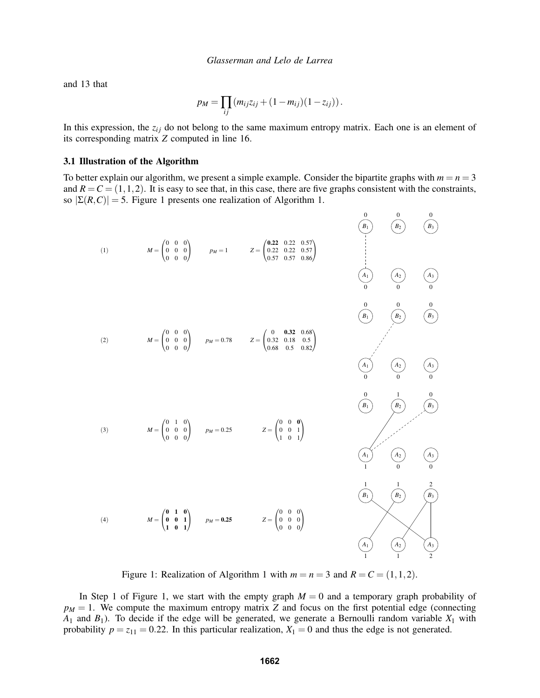and 13 that

$$
p_M = \prod_{ij} (m_{ij}z_{ij} + (1 - m_{ij})(1 - z_{ij})).
$$

In this expression, the  $z_{ij}$  do not belong to the same maximum entropy matrix. Each one is an element of its corresponding matrix *Z* computed in line 16.

### 3.1 Illustration of the Algorithm

To better explain our algorithm, we present a simple example. Consider the bipartite graphs with  $m = n = 3$ and  $R = C = (1, 1, 2)$ . It is easy to see that, in this case, there are five graphs consistent with the constraints, so  $|\Sigma(R, C)| = 5$ . Figure 1 presents one realization of Algorithm 1.



Figure 1: Realization of Algorithm 1 with  $m = n = 3$  and  $R = C = (1, 1, 2)$ .

In Step 1 of Figure 1, we start with the empty graph  $M = 0$  and a temporary graph probability of  $p_M = 1$ . We compute the maximum entropy matrix *Z* and focus on the first potential edge (connecting  $A_1$  and  $B_1$ ). To decide if the edge will be generated, we generate a Bernoulli random variable  $X_1$  with probability  $p = z_{11} = 0.22$ . In this particular realization,  $X_1 = 0$  and thus the edge is not generated.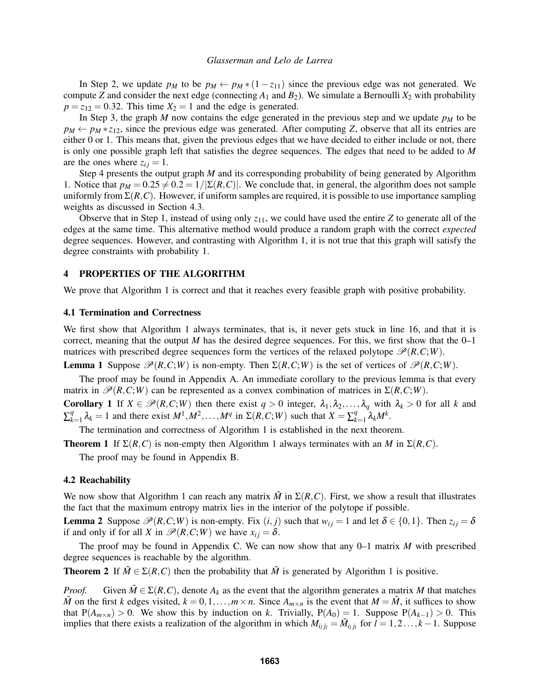In Step 2, we update  $p_M$  to be  $p_M \leftarrow p_M * (1 - z_{11})$  since the previous edge was not generated. We compute *Z* and consider the next edge (connecting  $A_1$  and  $B_2$ ). We simulate a Bernoulli  $X_2$  with probability  $p = z_{12} = 0.32$ . This time  $X_2 = 1$  and the edge is generated.

In Step 3, the graph *M* now contains the edge generated in the previous step and we update  $p<sub>M</sub>$  to be  $p_M \leftarrow p_M * z_{12}$ , since the previous edge was generated. After computing *Z*, observe that all its entries are either 0 or 1. This means that, given the previous edges that we have decided to either include or not, there is only one possible graph left that satisfies the degree sequences. The edges that need to be added to *M* are the ones where  $z_{ij} = 1$ .

Step 4 presents the output graph *M* and its corresponding probability of being generated by Algorithm 1. Notice that  $p_M = 0.25 \neq 0.2 = 1/|\Sigma(R, C)|$ . We conclude that, in general, the algorithm does not sample uniformly from  $\Sigma(R, C)$ . However, if uniform samples are required, it is possible to use importance sampling weights as discussed in Section 4.3.

Observe that in Step 1, instead of using only  $z_{11}$ , we could have used the entire  $Z$  to generate all of the edges at the same time. This alternative method would produce a random graph with the correct *expected* degree sequences. However, and contrasting with Algorithm 1, it is not true that this graph will satisfy the degree constraints with probability 1.

## 4 PROPERTIES OF THE ALGORITHM

We prove that Algorithm 1 is correct and that it reaches every feasible graph with positive probability.

### 4.1 Termination and Correctness

We first show that Algorithm 1 always terminates, that is, it never gets stuck in line 16, and that it is correct, meaning that the output *M* has the desired degree sequences. For this, we first show that the  $0-1$ matrices with prescribed degree sequences form the vertices of the relaxed polytope  $\mathcal{P}(R,C;W)$ .

**Lemma 1** Suppose  $\mathcal{P}(R, C; W)$  is non-empty. Then  $\Sigma(R, C; W)$  is the set of vertices of  $\mathcal{P}(R, C; W)$ .

The proof may be found in Appendix A. An immediate corollary to the previous lemma is that every matrix in  $\mathcal{P}(R, C; W)$  can be represented as a convex combination of matrices in  $\Sigma(R, C; W)$ .

Corollary 1 If  $X \in \mathcal{P}(R, C; W)$  then there exist  $q > 0$  integer,  $\lambda_1, \lambda_2, ..., \lambda_q$  with  $\lambda_k > 0$  for all *k* and  $\sum_k^q$  $\lambda_{k=1}^{q} \lambda_{k} = 1$  and there exist  $M^{1}, M^{2}, \ldots, M^{q}$  in  $\Sigma(R, C; W)$  such that  $X = \sum_{k=1}^{q} \lambda_{k}$ *k*=1 λ*kM<sup>k</sup>* .

The termination and correctness of Algorithm 1 is established in the next theorem.

**Theorem 1** If  $\Sigma(R, C)$  is non-empty then Algorithm 1 always terminates with an *M* in  $\Sigma(R, C)$ .

The proof may be found in Appendix B.

# 4.2 Reachability

We now show that Algorithm 1 can reach any matrix  $\tilde{M}$  in  $\Sigma(R, C)$ . First, we show a result that illustrates the fact that the maximum entropy matrix lies in the interior of the polytope if possible.

**Lemma 2** Suppose  $\mathcal{P}(R, C; W)$  is non-empty. Fix  $(i, j)$  such that  $w_{ij} = 1$  and let  $\delta \in \{0, 1\}$ . Then  $z_{ij} = \delta$ if and only if for all *X* in  $\mathcal{P}(R, C; W)$  we have  $x_{ij} = \delta$ .

The proof may be found in Appendix C. We can now show that any 0–1 matrix *M* with prescribed degree sequences is reachable by the algorithm.

**Theorem 2** If  $\tilde{M} \in \Sigma(R, C)$  then the probability that  $\tilde{M}$  is generated by Algorithm 1 is positive.

*Proof.* Given  $\tilde{M} \in \Sigma(R, C)$ , denote  $A_k$  as the event that the algorithm generates a matrix *M* that matches  $\tilde{M}$  on the first *k* edges visited,  $k = 0, 1, \ldots, m \times n$ . Since  $A_{m \times n}$  is the event that  $M = \tilde{M}$ , it suffices to show that  $P(A_{m \times n}) > 0$ . We show this by induction on *k*. Trivially,  $P(A_0) = 1$ . Suppose  $P(A_{k-1}) > 0$ . This implies that there exists a realization of the algorithm in which  $M_{i_lj_l} = \tilde{M}_{i_lj_l}$  for  $l = 1, 2, ..., k-1$ . Suppose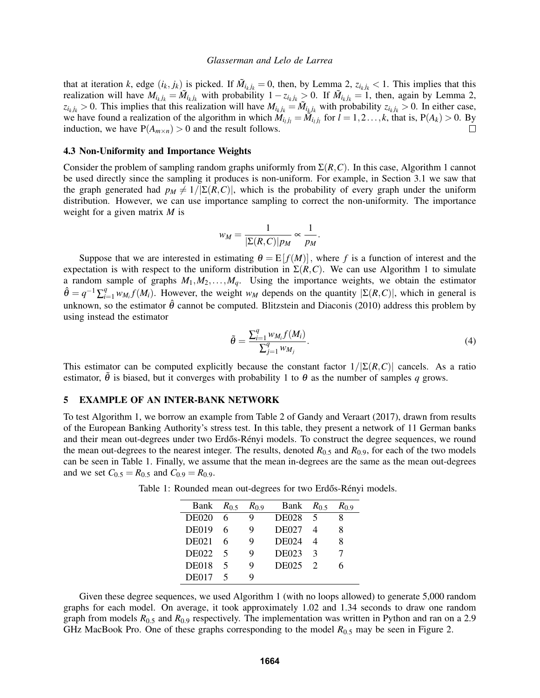that at iteration *k*, edge  $(i_k, j_k)$  is picked. If  $\tilde{M}_{i_k j_k} = 0$ , then, by Lemma 2,  $z_{i_k j_k} < 1$ . This implies that this realization will have  $M_{i_kj_k} = \tilde{M}_{i_kj_k}$  with probability  $1 - z_{i_kj_k} > 0$ . If  $\tilde{M}_{i_kj_k} = 1$ , then, again by Lemma 2,  $z_{i_kj_k} > 0$ . This implies that this realization will have  $M_{i_kj_k} = \tilde{M}_{i_kj_k}$  with probability  $z_{i_kj_k} > 0$ . In either case, we have found a realization of the algorithm in which  $\hat{M}_{i_lj_l} = \hat{M}_{i_lj_l}$  for  $l = 1, 2, ..., k$ , that is,  $P(A_k) > 0$ . By induction, we have  $P(A_{m \times n}) > 0$  and the result follows.  $\Box$ 

#### 4.3 Non-Uniformity and Importance Weights

Consider the problem of sampling random graphs uniformly from Σ(*R*,*C*). In this case, Algorithm 1 cannot be used directly since the sampling it produces is non-uniform. For example, in Section 3.1 we saw that the graph generated had  $p_M \neq 1/|\Sigma(R, C)|$ , which is the probability of every graph under the uniform distribution. However, we can use importance sampling to correct the non-uniformity. The importance weight for a given matrix *M* is

$$
w_M = \frac{1}{|\Sigma(R,C)|p_M} \propto \frac{1}{p_M}.
$$

Suppose that we are interested in estimating  $\theta = E[f(M)]$ , where f is a function of interest and the expectation is with respect to the uniform distribution in  $\Sigma(R, C)$ . We can use Algorithm 1 to simulate a random sample of graphs  $M_1, M_2, \ldots, M_q$ . Using the importance weights, we obtain the estimator  $\hat{\theta} = q^{-1} \sum_{i=1}^{q} w_{M_i} f(M_i)$ . However, the weight  $w_M$  depends on the quantity  $|\Sigma(R, C)|$ , which in general is unknown, so the estimator  $\hat{\theta}$  cannot be computed. Blitzstein and Diaconis (2010) address this problem by using instead the estimator

$$
\tilde{\theta} = \frac{\sum_{i=1}^{q} w_{M_i} f(M_i)}{\sum_{j=1}^{q} w_{M_j}}.
$$
\n(4)

This estimator can be computed explicitly because the constant factor  $1/[\Sigma(R,C)]$  cancels. As a ratio estimator,  $\tilde{\theta}$  is biased, but it converges with probability 1 to  $\theta$  as the number of samples q grows.

### 5 EXAMPLE OF AN INTER-BANK NETWORK

To test Algorithm 1, we borrow an example from Table 2 of Gandy and Veraart (2017), drawn from results of the European Banking Authority's stress test. In this table, they present a network of 11 German banks and their mean out-degrees under two Erdős-Rényi models. To construct the degree sequences, we round the mean out-degrees to the nearest integer. The results, denoted  $R_{0.5}$  and  $R_{0.9}$ , for each of the two models can be seen in Table 1. Finally, we assume that the mean in-degrees are the same as the mean out-degrees and we set  $C_{0.5} = R_{0.5}$  and  $C_{0.9} = R_{0.9}$ .

| Bank $R_{0.5}$ |     | $R_{0.9}$ | Bank $R_{0.5}$ |                          | $R_0$ 9 |
|----------------|-----|-----------|----------------|--------------------------|---------|
| <b>DE020</b>   | 6   |           | <b>DE028</b>   | $\overline{\mathcal{L}}$ |         |
| <b>DE019</b>   | 6   | Q         | <b>DE027</b>   |                          |         |
| <b>DE021</b>   |     | Q         | <b>DE024</b>   |                          |         |
| <b>DE022</b>   | - 5 | Q         | <b>DE023</b>   | $\mathcal{R}$            |         |
| <b>DE018</b>   | 5   | Q         | DE025 2        |                          |         |
| <b>DE017</b>   |     |           |                |                          |         |

Table 1: Rounded mean out-degrees for two Erdős-Rényi models.

Given these degree sequences, we used Algorithm 1 (with no loops allowed) to generate 5,000 random graphs for each model. On average, it took approximately 1.02 and 1.34 seconds to draw one random graph from models *R*0.<sup>5</sup> and *R*0.<sup>9</sup> respectively. The implementation was written in Python and ran on a 2.9 GHz MacBook Pro. One of these graphs corresponding to the model *R*0.<sup>5</sup> may be seen in Figure 2.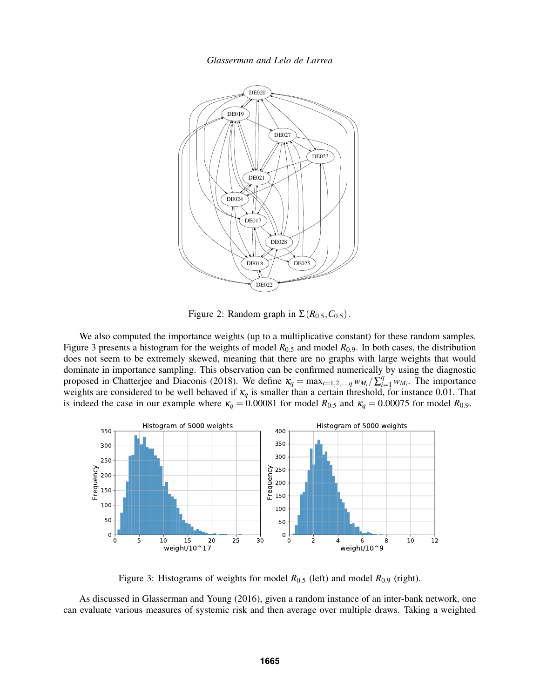

Figure 2: Random graph in  $\Sigma(R_{0.5},C_{0.5})$ .

We also computed the importance weights (up to a multiplicative constant) for these random samples. Figure 3 presents a histogram for the weights of model *R*0.<sup>5</sup> and model *R*0.9. In both cases, the distribution does not seem to be extremely skewed, meaning that there are no graphs with large weights that would dominate in importance sampling. This observation can be confirmed numerically by using the diagnostic proposed in Chatterjee and Diaconis (2018). We define  $\kappa_q = \max_{i=1,2,\dots,q} w_{M_i} / \sum_{i=1}^q w_{M_i}$ . The importance weights are considered to be well behaved if  $\kappa_q$  is smaller than a certain threshold, for instance 0.01. That is indeed the case in our example where  $\kappa_q = 0.00081$  for model  $R_{0.5}$  and  $\kappa_q = 0.00075$  for model  $R_{0.9}$ .



Figure 3: Histograms of weights for model *R*0.<sup>5</sup> (left) and model *R*0.<sup>9</sup> (right).

As discussed in Glasserman and Young (2016), given a random instance of an inter-bank network, one can evaluate various measures of systemic risk and then average over multiple draws. Taking a weighted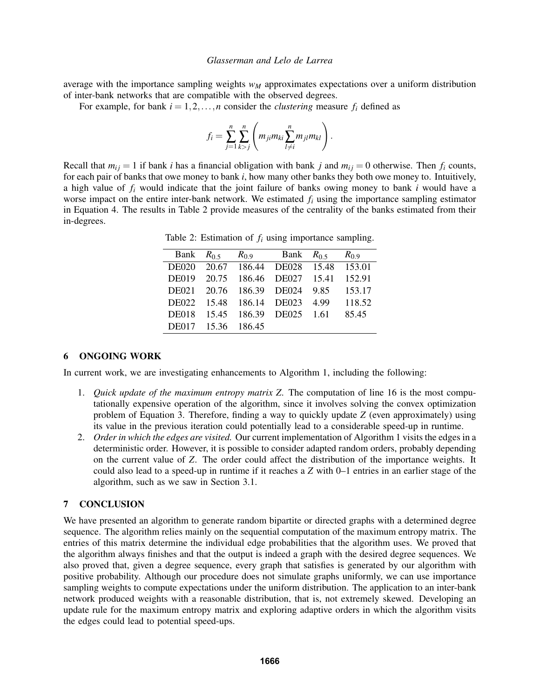average with the importance sampling weights *w<sup>M</sup>* approximates expectations over a uniform distribution of inter-bank networks that are compatible with the observed degrees.

For example, for bank  $i = 1, 2, ..., n$  consider the *clustering* measure  $f_i$  defined as

$$
f_i = \sum_{j=1}^n \sum_{k>j}^n \left( m_{ji} m_{ki} \sum_{l \neq i}^n m_{jl} m_{kl} \right).
$$

Recall that  $m_{ij} = 1$  if bank *i* has a financial obligation with bank *j* and  $m_{ij} = 0$  otherwise. Then  $f_i$  counts, for each pair of banks that owe money to bank *i*, how many other banks they both owe money to. Intuitively, a high value of *f<sup>i</sup>* would indicate that the joint failure of banks owing money to bank *i* would have a worse impact on the entire inter-bank network. We estimated *f<sup>i</sup>* using the importance sampling estimator in Equation 4. The results in Table 2 provide measures of the centrality of the banks estimated from their in-degrees.

Table 2: Estimation of *f<sup>i</sup>* using importance sampling.

| Bank $R_{0.5}$ |       |              | $R_{0.9}$ Bank $R_{0.5}$ |      | $R_0$ 9 |
|----------------|-------|--------------|--------------------------|------|---------|
| <b>DE020</b>   |       |              | 20.67 186.44 DE028 15.48 |      | 153.01  |
| <b>DE019</b>   | 20.75 | 186.46       | DE027 15.41              |      | 152.91  |
| <b>DE021</b>   | 20.76 | 186.39 DE024 |                          | 9.85 | 153.17  |
| <b>DE022</b>   | 15.48 | 186.14 DE023 |                          | 4.99 | 118.52  |
| <b>DE018</b>   | 15.45 |              | 186.39 DE025 1.61        |      | 85.45   |
| <b>DE017</b>   | 15.36 | 186.45       |                          |      |         |

# 6 ONGOING WORK

In current work, we are investigating enhancements to Algorithm 1, including the following:

- 1. *Quick update of the maximum entropy matrix Z.* The computation of line 16 is the most computationally expensive operation of the algorithm, since it involves solving the convex optimization problem of Equation 3. Therefore, finding a way to quickly update *Z* (even approximately) using its value in the previous iteration could potentially lead to a considerable speed-up in runtime.
- 2. *Order in which the edges are visited.* Our current implementation of Algorithm 1 visits the edges in a deterministic order. However, it is possible to consider adapted random orders, probably depending on the current value of *Z*. The order could affect the distribution of the importance weights. It could also lead to a speed-up in runtime if it reaches a *Z* with 0–1 entries in an earlier stage of the algorithm, such as we saw in Section 3.1.

# 7 CONCLUSION

We have presented an algorithm to generate random bipartite or directed graphs with a determined degree sequence. The algorithm relies mainly on the sequential computation of the maximum entropy matrix. The entries of this matrix determine the individual edge probabilities that the algorithm uses. We proved that the algorithm always finishes and that the output is indeed a graph with the desired degree sequences. We also proved that, given a degree sequence, every graph that satisfies is generated by our algorithm with positive probability. Although our procedure does not simulate graphs uniformly, we can use importance sampling weights to compute expectations under the uniform distribution. The application to an inter-bank network produced weights with a reasonable distribution, that is, not extremely skewed. Developing an update rule for the maximum entropy matrix and exploring adaptive orders in which the algorithm visits the edges could lead to potential speed-ups.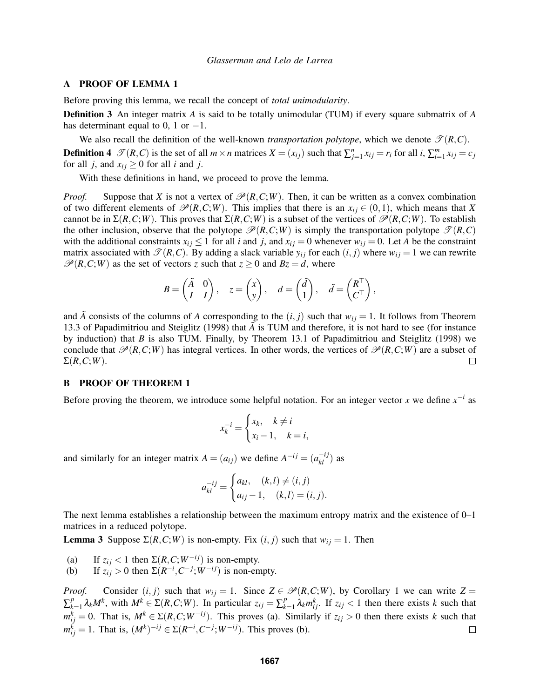# A PROOF OF LEMMA 1

Before proving this lemma, we recall the concept of *total unimodularity*.

Definition 3 An integer matrix *A* is said to be totally unimodular (TUM) if every square submatrix of *A* has determinant equal to 0, 1 or  $-1$ .

We also recall the definition of the well-known *transportation polytope*, which we denote  $\mathcal{T}(R,C)$ .

**Definition 4**  $\mathscr{T}(R,C)$  is the set of all  $m \times n$  matrices  $X = (x_{ij})$  such that  $\sum_{j=1}^{n} x_{ij} = r_i$  for all  $i, \sum_{i=1}^{m} x_{ij} = c_j$ for all *j*, and  $x_{ij} \geq 0$  for all *i* and *j*.

With these definitions in hand, we proceed to prove the lemma.

*Proof.* Suppose that *X* is not a vertex of  $\mathcal{P}(R,C;W)$ . Then, it can be written as a convex combination of two different elements of  $\mathcal{P}(R,C;W)$ . This implies that there is an  $x_{ij} \in (0,1)$ , which means that *X* cannot be in  $\Sigma(R, C; W)$ . This proves that  $\Sigma(R, C; W)$  is a subset of the vertices of  $\mathcal{P}(R, C; W)$ . To establish the other inclusion, observe that the polytope  $\mathcal{P}(R,C;W)$  is simply the transportation polytope  $\mathcal{P}(R,C)$ with the additional constraints  $x_{ij} \leq 1$  for all *i* and *j*, and  $x_{ij} = 0$  whenever  $w_{ij} = 0$ . Let *A* be the constraint matrix associated with  $\mathcal{T}(R, C)$ . By adding a slack variable  $y_{ij}$  for each  $(i, j)$  where  $w_{ij} = 1$  we can rewrite  $\mathcal{P}(R, C; W)$  as the set of vectors *z* such that  $z \ge 0$  and  $Bz = d$ , where

$$
B = \begin{pmatrix} \tilde{A} & 0 \\ I & I \end{pmatrix}, \quad z = \begin{pmatrix} x \\ y \end{pmatrix}, \quad d = \begin{pmatrix} \tilde{d} \\ 1 \end{pmatrix}, \quad \tilde{d} = \begin{pmatrix} R^{\top} \\ C^{\top} \end{pmatrix},
$$

and  $\overline{A}$  consists of the columns of  $\overline{A}$  corresponding to the  $(i, j)$  such that  $w_{ij} = 1$ . It follows from Theorem 13.3 of Papadimitriou and Steiglitz (1998) that  $\vec{A}$  is TUM and therefore, it is not hard to see (for instance by induction) that *B* is also TUM. Finally, by Theorem 13.1 of Papadimitriou and Steiglitz (1998) we conclude that  $\mathcal{P}(R, C; W)$  has integral vertices. In other words, the vertices of  $\mathcal{P}(R, C; W)$  are a subset of  $\Sigma(R, C; W)$ .  $\Box$ 

### B PROOF OF THEOREM 1

Before proving the theorem, we introduce some helpful notation. For an integer vector *x* we define  $x^{-i}$  as

$$
x_k^{-i} = \begin{cases} x_k, & k \neq i \\ x_i - 1, & k = i, \end{cases}
$$

and similarly for an integer matrix  $A = (a_{ij})$  we define  $A^{-ij} = (a_{kl}^{-ij})$  as

$$
a_{kl}^{-ij} = \begin{cases} a_{kl}, & (k,l) \neq (i,j) \\ a_{ij} - 1, & (k,l) = (i,j). \end{cases}
$$

The next lemma establishes a relationship between the maximum entropy matrix and the existence of 0–1 matrices in a reduced polytope.

**Lemma 3** Suppose  $\Sigma(R, C; W)$  is non-empty. Fix  $(i, j)$  such that  $w_{ij} = 1$ . Then

- (a) If  $z_{ij} < 1$  then  $\Sigma(R, C; W^{-ij})$  is non-empty.
- (b) If  $z_{ij} > 0$  then  $\Sigma(R^{-i}, C^{-j}; W^{-ij})$  is non-empty.

*Proof.* Consider  $(i, j)$  such that  $w_{ij} = 1$ . Since  $Z \in \mathcal{P}(R, C; W)$ , by Corollary 1 we can write  $Z =$ ∑ *p*  $\sum_{k=1}^{p} \lambda_k M^k$ , with  $M^k \in \Sigma(R, C; W)$ . In particular  $z_{ij} = \sum_{k=1}^{p} p_k$  $_{k=1}^p \lambda_k m_{ij}^k$ . If  $z_{ij} < 1$  then there exists *k* such that  $m_{ij}^k = 0$ . That is,  $M^k \in \Sigma(R, C; W^{-ij})$ . This proves (a). Similarly if  $z_{ij} > 0$  then there exists *k* such that  $m_{ij}^k = 1$ . That is,  $(M^k)^{-ij} \in \Sigma(R^{-i}, C^{-j}; W^{-ij})$ . This proves (b).  $\Box$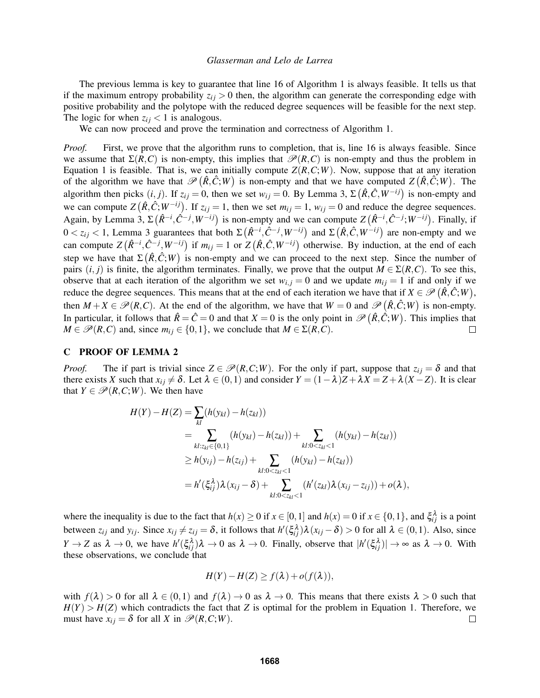The previous lemma is key to guarantee that line 16 of Algorithm 1 is always feasible. It tells us that if the maximum entropy probability  $z_{ij} > 0$  then, the algorithm can generate the corresponding edge with positive probability and the polytope with the reduced degree sequences will be feasible for the next step. The logic for when  $z_{ij}$  < 1 is analogous.

We can now proceed and prove the termination and correctness of Algorithm 1.

*Proof.* First, we prove that the algorithm runs to completion, that is, line 16 is always feasible. Since we assume that  $\Sigma(R, C)$  is non-empty, this implies that  $\mathcal{P}(R, C)$  is non-empty and thus the problem in Equation 1 is feasible. That is, we can initially compute  $Z(R, C, W)$ . Now, suppose that at any iteration of the algorithm we have that  $\mathcal{P}(\hat{R}, \hat{C}; W)$  is non-empty and that we have computed  $Z(\hat{R}, \hat{C}; W)$ . The algorithm then picks  $(i, j)$ . If  $z_{ij} = 0$ , then we set  $w_{ij} = 0$ . By Lemma 3,  $\Sigma(\hat{R}, \hat{C}, W^{-ij})$  is non-empty and we can compute  $Z(\hat{R}, \hat{C}; W^{-ij})$ . If  $z_{ij} = 1$ , then we set  $m_{ij} = 1$ ,  $w_{ij} = 0$  and reduce the degree sequences. Again, by Lemma 3,  $\Sigma(\hat{R}^{-i}, \hat{C}^{-j}, W^{-ij})$  is non-empty and we can compute  $Z(\hat{R}^{-i}, \hat{C}^{-j}; W^{-ij})$ . Finally, if  $0 < z_{ij} < 1$ , Lemma 3 guarantees that both Σ $(R^{-i}, \hat{C}^{-j}, W^{-ij})$  and Σ $(R, \hat{C}, W^{-ij})$  are non-empty and we can compute  $Z(\hat{R}^{-i}, \hat{C}^{-j}, W^{-ij})$  if  $m_{ij} = 1$  or  $Z(\hat{R}, \hat{C}, W^{-ij})$  otherwise. By induction, at the end of each step we have that  $\Sigma(\hat{R}, \hat{C}; W)$  is non-empty and we can proceed to the next step. Since the number of pairs  $(i, j)$  is finite, the algorithm terminates. Finally, we prove that the output  $M \in \Sigma(R, C)$ . To see this, observe that at each iteration of the algorithm we set  $w_{i,j} = 0$  and we update  $m_{ij} = 1$  if and only if we reduce the degree sequences. This means that at the end of each iteration we have that if  $X \in \mathcal{P}(\hat{R}, \hat{C}; W)$ , then  $M + X \in \mathcal{P}(R, C)$ . At the end of the algorithm, we have that  $W = 0$  and  $\mathcal{P}(\hat{R}, \hat{C}; W)$  is non-empty. In particular, it follows that  $\hat{R} = \hat{C} = 0$  and that  $X = 0$  is the only point in  $\mathscr{P}(\hat{R}, \hat{C}; W)$ . This implies that  $M \in \mathcal{P}(R, C)$  and, since  $m_{ij} \in \{0, 1\}$ , we conclude that  $M \in \Sigma(R, C)$ .  $\Box$ 

### C PROOF OF LEMMA 2

*Proof.* The if part is trivial since  $Z \in \mathcal{P}(R, C; W)$ . For the only if part, suppose that  $z_{ij} = \delta$  and that there exists *X* such that  $x_{ij} \neq \delta$ . Let  $\lambda \in (0,1)$  and consider  $Y = (1 - \lambda)Z + \lambda X = Z + \lambda(X - Z)$ . It is clear that  $Y \in \mathcal{P}(R, C; W)$ . We then have

$$
H(Y) - H(Z) = \sum_{kl} (h(y_{kl}) - h(z_{kl}))
$$
  
= 
$$
\sum_{kl:z_{kl} \in \{0,1\}} (h(y_{kl}) - h(z_{kl})) + \sum_{kl:0 < z_{kl} < 1} (h(y_{kl}) - h(z_{kl}))
$$
  

$$
\geq h(y_{ij}) - h(z_{ij}) + \sum_{kl:0 < z_{kl} < 1} (h(y_{kl}) - h(z_{kl}))
$$
  
= 
$$
h'(\xi_{ij}^{\lambda}) \lambda (x_{ij} - \delta) + \sum_{kl:0 < z_{kl} < 1} (h'(z_{kl}) \lambda (x_{ij} - z_{ij})) + o(\lambda),
$$

where the inequality is due to the fact that  $h(x) \ge 0$  if  $x \in [0,1]$  and  $h(x) = 0$  if  $x \in \{0,1\}$ , and  $\xi_{ij}^{\lambda}$  is a point between  $z_{ij}$  and  $y_{ij}$ . Since  $x_{ij} \neq z_{ij} = \delta$ , it follows that  $h'(\xi_{ij}^{\lambda})\lambda(x_{ij} - \delta) > 0$  for all  $\lambda \in (0,1)$ . Also, since  $Y \to Z$  as  $\lambda \to 0$ , we have  $h'(\xi_{ij}^{\lambda})\lambda \to 0$  as  $\lambda \to 0$ . Finally, observe that  $|h'(\xi_{ij}^{\lambda})| \to \infty$  as  $\lambda \to 0$ . With these observations, we conclude that

$$
H(Y) - H(Z) \ge f(\lambda) + o(f(\lambda)),
$$

with  $f(\lambda) > 0$  for all  $\lambda \in (0,1)$  and  $f(\lambda) \to 0$  as  $\lambda \to 0$ . This means that there exists  $\lambda > 0$  such that  $H(Y) > H(Z)$  which contradicts the fact that *Z* is optimal for the problem in Equation 1. Therefore, we must have  $x_{ij} = \delta$  for all *X* in  $\mathcal{P}(R, C; W)$ .  $\Box$